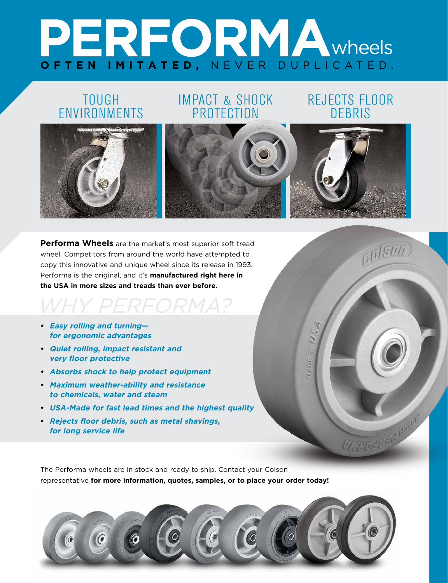# PERFORMAWheels **OFTEN IMITATED,** NEVER DUPLICATED.

# TOUGH **ENVIRONMENTS**

# IMPACT & SHOCK **PROTECTION**

## REJECTS FLOOR DEBRIS

 $M = 16M$ 

**FOLSON** 

**CITY OFT EC NORM** 



**Performa Wheels** are the market's most superior soft tread wheel. Competitors from around the world have attempted to copy this innovative and unique wheel since its release in 1993. Performa is the original, and it's **manufactured right here in the USA in more sizes and treads than ever before.**

# WHY PERFORMA? **• Easy rolling and turning—**

- **for ergonomic advantages**
- **• Quiet rolling, impact resistant and very floor protective**
- **• Absorbs shock to help protect equipment**
- **• Maximum weather-ability and resistance to chemicals, water and steam**
- **• USA-Made for fast lead times and the highest quality**
- **• Rejects floor debris, such as metal shavings, for long service life**

The Performa wheels are in stock and ready to ship. Contact your Colson representative **for more information, quotes, samples, or to place your order today!**

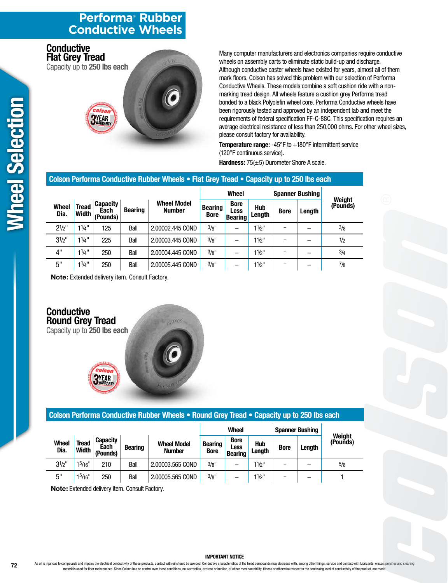## **Performa® Rubber Conductive Wheels**

**Flat Grey Tread** Capacity up to **250 lbs each**

**Conductive** 

# YEAR

Many computer manufacturers and electronics companies require conductive wheels on assembly carts to eliminate static build-up and discharge. Although conductive caster wheels have existed for years, almost all of them mark floors. Colson has solved this problem with our selection of Performa Conductive Wheels. These models combine a soft cushion ride with a nonmarking tread design. All wheels feature a cushion grey Performa tread bonded to a black Polyolefin wheel core. Performa Conductive wheels have been rigorously tested and approved by an independent lab and meet the requirements of federal specification FF-C-88C. This specification requires an average electrical resistance of less than 250,000 ohms. For other wheel sizes, please consult factory for availability.

**Temperature range:** -45°F to +180°F intermittent service (120°F continuous service). **Hardness:** 75(±5) Durometer Shore A scale.

#### **Colson Performa Conductive Rubber Wheels • Flat Grey Tread • Capacity up to 250 lbs each**

of JELI

|                      |                |                                     |                |                                     | <b>Wheel</b>                  |                                       |                      | <b>Spanner Bushing</b> |        |                    |
|----------------------|----------------|-------------------------------------|----------------|-------------------------------------|-------------------------------|---------------------------------------|----------------------|------------------------|--------|--------------------|
| <b>Wheel</b><br>Dia. | Tread<br>Width | <b>Capacity</b><br>Each<br>(Pounds) | <b>Bearing</b> | <b>Wheel Model</b><br><b>Number</b> | <b>Bearing</b><br><b>Bore</b> | <b>Bore</b><br>Less<br><b>Bearing</b> | <b>Hub</b><br>Length | <b>Bore</b>            | Length | Weight<br>(Pounds) |
| $2^{1/2}$            | $1^{1/4}$      | 125                                 | Ball           | 2.00002.445 COND                    | 3/g''                         | -                                     | $11/2$ "             |                        |        | 3/8                |
| $3^{1/2}$            | $1^{1/4}$      | 225                                 | Ball           | 2.00003.445 COND                    | 3/8"                          |                                       | $11/2$ "             |                        |        | 1/2                |
| 4"                   | $1^{1/4}$      | 250                                 | Ball           | 2.00004.445 COND                    | 3/8"                          |                                       | $11/2$ "             |                        |        | 3/4                |
| 5"                   | $1^{1/4}$      | 250                                 | Ball           | 2.00005.445 COND                    | 3/8"                          |                                       | $11/2$ "             | -                      |        | 7/8                |

**Note:** Extended delivery item. Consult Factory.

#### **Conductive Round Grey Tread** Capacity up to **250 lbs each**



# **Colson Performa Conductive Rubber Wheels • Round Grey Tread • Capacity up to 250 lbs each**

|                      |                |                                     |                |                                     | <b>Wheel</b>                  |                                              |                      | <b>Spanner Bushing</b> |               |                    |
|----------------------|----------------|-------------------------------------|----------------|-------------------------------------|-------------------------------|----------------------------------------------|----------------------|------------------------|---------------|--------------------|
| <b>Wheel</b><br>Dia. | Tread<br>Width | <b>Capacity</b><br>Each<br>(Pounds) | <b>Bearing</b> | <b>Wheel Model</b><br><b>Number</b> | <b>Bearing</b><br><b>Bore</b> | <b>Bore</b><br><b>Less</b><br><b>Bearing</b> | <b>Hub</b><br>Length | <b>Bore</b>            | <b>Lenath</b> | Weight<br>(Pounds) |
| $3^{1/2}$            | $1^5/16"$      | 210                                 | Ball           | 2.00003.565 COND                    | 3/8"                          |                                              | 11/2"                | -                      | -             | 5/8                |
| 5"                   | $1^5/16"$      | 250                                 | Ball           | 2.00005.565 COND                    | 3/8"                          |                                              | 11/2"                | -                      | -             |                    |

**Note:** Extended delivery item. Consult Factory.

**PYEAR** 

#### **IMPORTANT NOTICE**